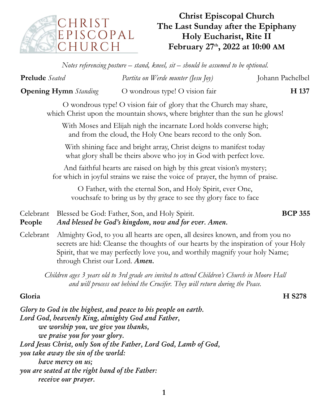

# **Christ Episcopal Church The Last Sunday after the Epiphany Holy Eucharist, Rite II February 27th, 2022 at 10:00 AM**

*Notes referencing posture – stand, kneel, sit – should be assumed to be optional.*

**Prelude** Seated

Partita on Werde munter (Jesu Joy) **Johann Pachelbel** 

**Opening Hymn** *Standing* 

**Opening Hymn** *Standing* O wondrous type! O vision fair **H 137**

O wondrous type! O vision fair of glory that the Church may share, which Christ upon the mountain shows, where brighter than the sun he glows!

With Moses and Elijah nigh the incarnate Lord holds converse high; and from the cloud, the Holy One bears record to the only Son.

With shining face and bright array, Christ deigns to manifest today what glory shall be theirs above who joy in God with perfect love.

And faithful hearts are raised on high by this great vision's mystery; for which in joyful strains we raise the voice of prayer, the hymn of praise.

O Father, with the eternal Son, and Holy Spirit, ever One, vouchsafe to bring us by thy grace to see thy glory face to face

Celebrant Blessed be God: Father, Son, and Holy Spirit. **BCP 355 People** And blessed be God's kingdom, now and for ever. Amen.

Celebrant Almighty God, to you all hearts are open, all desires known, and from you no secrets are hid: Cleanse the thoughts of our hearts by the inspiration of your Holy Spirit, that we may perfectly love you, and worthily magnify your holy Name; through Christ our Lord. Amen.

*Children ages 3 years old to 3rd grade are invited to attend Children's Church in Moore Hall and will process out behind the Crucifer. They will return during the Peace.*

Glory to God in the highest, and peace to his people on earth. Lord God, heavenly King, almighty God and Father, we worship you, we give you thanks, we praise you for your glory. Lord Jesus Christ, only Son of the Father, Lord God, Lamb of God, you take away the sin of the world: have mercy on us; you are seated at the right hand of the Father: receive our prayer.

**Gloria H S278**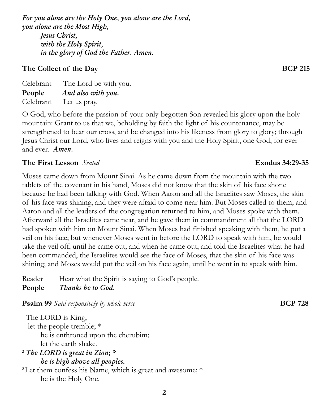For you alone are the Holy One, you alone are the Lord, you alone are the Most High, Jesus Christ, with the Holy Spirit, in the glory of God the Father. Amen.

## **The Collect of the Day BCP 215**

| Celebrant | The Lord be with you. |
|-----------|-----------------------|
| People    | And also with you.    |
| Celebrant | Let us pray.          |

O God, who before the passion of your only-begotten Son revealed his glory upon the holy mountain: Grant to us that we, beholding by faith the light of his countenance, may be strengthened to bear our cross, and be changed into his likeness from glory to glory; through Jesus Christ our Lord, who lives and reigns with you and the Holy Spirit, one God, for ever and ever. *Amen*.

## **The First Lesson** *Seated* **Exodus 34:29-35**

Moses came down from Mount Sinai. As he came down from the mountain with the two tablets of the covenant in his hand, Moses did not know that the skin of his face shone because he had been talking with God. When Aaron and all the Israelites saw Moses, the skin of his face was shining, and they were afraid to come near him. But Moses called to them; and Aaron and all the leaders of the congregation returned to him, and Moses spoke with them. Afterward all the Israelites came near, and he gave them in commandment all that the LORD had spoken with him on Mount Sinai. When Moses had finished speaking with them, he put a veil on his face; but whenever Moses went in before the LORD to speak with him, he would take the veil off, until he came out; and when he came out, and told the Israelites what he had been commanded, the Israelites would see the face of Moses, that the skin of his face was shining; and Moses would put the veil on his face again, until he went in to speak with him.

Reader Hear what the Spirit is saying to God's people. **People** Thanks be to God.

**Psalm 99** *Said responsively by whole verse* **BCP** 728

<sup>1</sup> The LORD is King;

 let the people tremble; \* he is enthroned upon the cherubim; let the earth shake.

2 The LORD is great in Zion; \* he is high above all peoples.

<sup>3</sup>Let them confess his Name, which is great and awesome; \* he is the Holy One.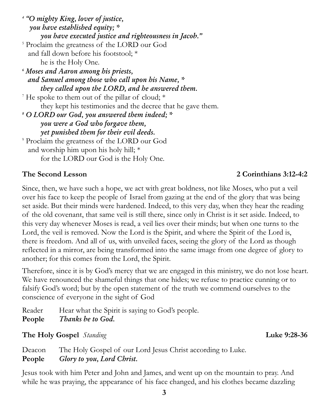4 "O mighty King, lover of justice, you have established equity; \* you have executed justice and righteousness in Jacob." 5 Proclaim the greatness of the LORD our God and fall down before his footstool; \* he is the Holy One. 6 Moses and Aaron among his priests, and Samuel among those who call upon his Name, \* they called upon the LORD, and he answered them. <sup>7</sup> He spoke to them out of the pillar of cloud; \* they kept his testimonies and the decree that he gave them.  $^s$  O LORD our God, you answered them indeed;  $^{\ast}$ you were a God who forgave them, yet punished them for their evil deeds. 9 Proclaim the greatness of the LORD our God and worship him upon his holy hill; \* for the LORD our God is the Holy One.

Since, then, we have such a hope, we act with great boldness, not like Moses, who put a veil over his face to keep the people of Israel from gazing at the end of the glory that was being set aside. But their minds were hardened. Indeed, to this very day, when they hear the reading of the old covenant, that same veil is still there, since only in Christ is it set aside. Indeed, to this very day whenever Moses is read, a veil lies over their minds; but when one turns to the Lord, the veil is removed. Now the Lord is the Spirit, and where the Spirit of the Lord is, there is freedom. And all of us, with unveiled faces, seeing the glory of the Lord as though reflected in a mirror, are being transformed into the same image from one degree of glory to another; for this comes from the Lord, the Spirit.

Therefore, since it is by God's mercy that we are engaged in this ministry, we do not lose heart. We have renounced the shameful things that one hides; we refuse to practice cunning or to falsify God's word; but by the open statement of the truth we commend ourselves to the conscience of everyone in the sight of God

Reader Hear what the Spirit is saying to God's people. **People** Thanks be to God.

**The Holy Gospel** *Standing* **Luke 9:28-36** 

Deacon The Holy Gospel of our Lord Jesus Christ according to Luke. **People** Glory to you, Lord Christ.

Jesus took with him Peter and John and James, and went up on the mountain to pray. And while he was praying, the appearance of his face changed, and his clothes became dazzling

## **The Second Lesson 2 Corinthians 3:12-4:2**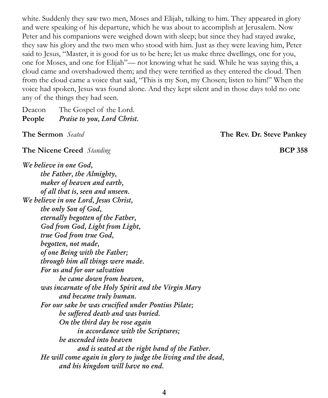white. Suddenly they saw two men, Moses and Elijah, talking to him. They appeared in glory and were speaking of his departure, which he was about to accomplish at Jerusalem. Now Peter and his companions were weighed down with sleep; but since they had stayed awake, they saw his glory and the two men who stood with him. Just as they were leaving him, Peter said to Jesus, "Master, it is good for us to be here; let us make three dwellings, one for you, one for Moses, and one for Elijah"— not knowing what he said. While he was saying this, a cloud came and overshadowed them; and they were terrified as they entered the cloud. Then from the cloud came a voice that said, "This is my Son, my Chosen; listen to him!" When the voice had spoken, Jesus was found alone. And they kept silent and in those days told no one any of the things they had seen.

| Deacon | The Gospel of the Lord.     |
|--------|-----------------------------|
| People | Praise to you, Lord Christ. |

**The Nicene Creed** *Standing BCP 358* 

We believe in one God, the Father, the Almighty, maker of heaven and earth, of all that is, seen and unseen. We believe in one Lord, Jesus Christ, the only Son of God, eternally begotten of the Father, God from God, Light from Light, true God from true God, begotten, not made, of one Being with the Father; through him all things were made. For us and for our salvation he came down from heaven, was incarnate of the Holy Spirit and the Virgin Mary and became truly human. For our sake he was crucified under Pontius Pilate; he suffered death and was buried. On the third day he rose again in accordance with the Scriptures; he ascended into heaven and is seated at the right hand of the Father. He will come again in glory to judge the living and the dead, and his kingdom will have no end.

**The Sermon** *Seated* **The Rev. Dr. Steve Pankey**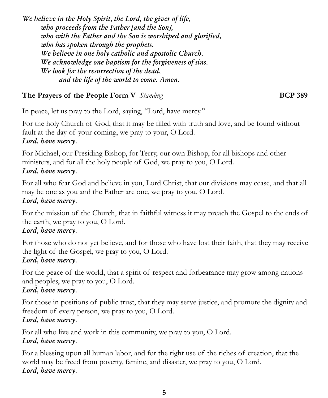We believe in the Holy Spirit, the Lord, the giver of life, who proceeds from the Father [and the Son], who with the Father and the Son is worshiped and glorified, who has spoken through the prophets. We believe in one holy catholic and apostolic Church. We acknowledge one baptism for the forgiveness of sins. We look for the resurrection of the dead, and the life of the world to come. Amen.

## **The Prayers of the People Form V** *Standing* **BCP 389**

In peace, let us pray to the Lord, saying, "Lord, have mercy."

For the holy Church of God, that it may be filled with truth and love, and be found without fault at the day of your coming, we pray to your, O Lord. Lord, have mercy.

For Michael, our Presiding Bishop, for Terry, our own Bishop, for all bishops and other ministers, and for all the holy people of God, we pray to you, O Lord. Lord, have mercy.

For all who fear God and believe in you, Lord Christ, that our divisions may cease, and that all may be one as you and the Father are one, we pray to you, O Lord. Lord, have mercy.

For the mission of the Church, that in faithful witness it may preach the Gospel to the ends of the earth, we pray to you, O Lord.

## Lord, have mercy.

For those who do not yet believe, and for those who have lost their faith, that they may receive the light of the Gospel, we pray to you, O Lord. Lord, have mercy.

For the peace of the world, that a spirit of respect and forbearance may grow among nations and peoples, we pray to you, O Lord.

# Lord, have mercy.

For those in positions of public trust, that they may serve justice, and promote the dignity and freedom of every person, we pray to you, O Lord. Lord, have mercy.

For all who live and work in this community, we pray to you, O Lord. Lord, have mercy.

For a blessing upon all human labor, and for the right use of the riches of creation, that the world may be freed from poverty, famine, and disaster, we pray to you, O Lord. Lord, have mercy.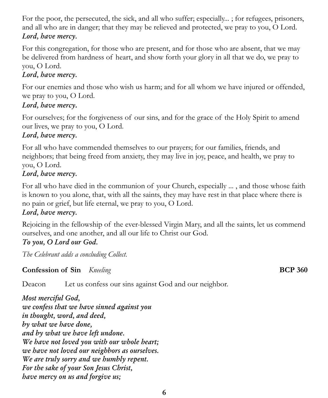For the poor, the persecuted, the sick, and all who suffer; especially...; for refugees, prisoners, and all who are in danger; that they may be relieved and protected, we pray to you, O Lord. Lord, have mercy.

For this congregation, for those who are present, and for those who are absent, that we may be delivered from hardness of heart, and show forth your glory in all that we do, we pray to you, O Lord.

# Lord, have mercy.

For our enemies and those who wish us harm; and for all whom we have injured or offended, we pray to you, O Lord.

# Lord, have mercy.

For ourselves; for the forgiveness of our sins, and for the grace of the Holy Spirit to amend our lives, we pray to you, O Lord.

# Lord, have mercy.

For all who have commended themselves to our prayers; for our families, friends, and neighbors; that being freed from anxiety, they may live in joy, peace, and health, we pray to you, O Lord.

# Lord, have mercy.

For all who have died in the communion of your Church, especially ... , and those whose faith is known to you alone, that, with all the saints, they may have rest in that place where there is no pain or grief, but life eternal, we pray to you, O Lord. Lord, have mercy.

Rejoicing in the fellowship of the ever-blessed Virgin Mary, and all the saints, let us commend ourselves, and one another, and all our life to Christ our God.

**6**

## To you, O Lord our God.

*The Celebrant adds a concluding Collect.*

## **Confession of Sin** *Kneeling BCP 360*

Deacon Let us confess our sins against God and our neighbor.

Most merciful God, we confess that we have sinned against you in thought, word, and deed, by what we have done, and by what we have left undone. We have not loved you with our whole heart; we have not loved our neighbors as ourselves. We are truly sorry and we humbly repent. For the sake of your Son Jesus Christ, have mercy on us and forgive us;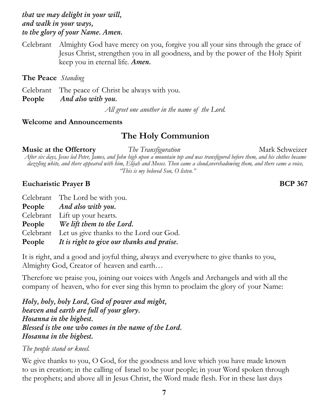that we may delight in your will, and walk in your ways, to the glory of your Name. Amen.

Celebrant Almighty God have mercy on you, forgive you all your sins through the grace of Jesus Christ, strengthen you in all goodness, and by the power of the Holy Spirit keep you in eternal life. Amen.

**The Peace** *Standing*

Celebrant The peace of Christ be always with you. **People** And also with you.

*All greet one another in the name of the Lord.*

## **Welcome and Announcements**

# **The Holy Communion**

## **Music at the Offertory** *The Transfiguration Mark Schweizer*

*After six days, Jesus led Peter, James, and John high upon a mountain top and was transfigured before them, and his clothes became dazzling white, and there appeared with him, Elijah and Moses. Then came a cloud,overshadowing them, and there came a voice, "This is my beloved Son, O listen."*

## **Eucharistic Prayer B BCP** 367

|           | Celebrant The Lord be with you.            |
|-----------|--------------------------------------------|
|           | People And also with you.                  |
|           | Celebrant Lift up your hearts.             |
|           | People We lift them to the Lord.           |
| Celebrant | Let us give thanks to the Lord our God.    |
| People    | It is right to give our thanks and praise. |

It is right, and a good and joyful thing, always and everywhere to give thanks to you, Almighty God, Creator of heaven and earth…

Therefore we praise you, joining our voices with Angels and Archangels and with all the company of heaven, who for ever sing this hymn to proclaim the glory of your Name:

Holy, holy, holy Lord, God of power and might, heaven and earth are full of your glory. Hosanna in the highest. Blessed is the one who comes in the name of the Lord. Hosanna in the highest.

*The people stand or kneel.* 

We give thanks to you, O God, for the goodness and love which you have made known to us in creation; in the calling of Israel to be your people; in your Word spoken through the prophets; and above all in Jesus Christ, the Word made flesh. For in these last days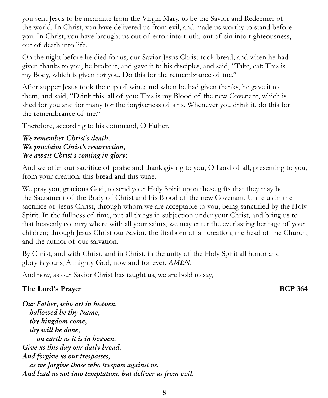you sent Jesus to be incarnate from the Virgin Mary, to be the Savior and Redeemer of the world. In Christ, you have delivered us from evil, and made us worthy to stand before you. In Christ, you have brought us out of error into truth, out of sin into righteousness, out of death into life.

On the night before he died for us, our Savior Jesus Christ took bread; and when he had given thanks to you, he broke it, and gave it to his disciples, and said, "Take, eat: This is my Body, which is given for you. Do this for the remembrance of me."

After supper Jesus took the cup of wine; and when he had given thanks, he gave it to them, and said, "Drink this, all of you: This is my Blood of the new Covenant, which is shed for you and for many for the forgiveness of sins. Whenever you drink it, do this for the remembrance of me."

Therefore, according to his command, O Father,

We remember Christ's death, We proclaim Christ's resurrection, We await Christ's coming in glory;

And we offer our sacrifice of praise and thanksgiving to you, O Lord of all; presenting to you, from your creation, this bread and this wine.

We pray you, gracious God, to send your Holy Spirit upon these gifts that they may be the Sacrament of the Body of Christ and his Blood of the new Covenant. Unite us in the sacrifice of Jesus Christ, through whom we are acceptable to you, being sanctified by the Holy Spirit. In the fullness of time, put all things in subjection under your Christ, and bring us to that heavenly country where with all your saints, we may enter the everlasting heritage of your children; through Jesus Christ our Savior, the firstborn of all creation, the head of the Church, and the author of our salvation.

By Christ, and with Christ, and in Christ, in the unity of the Holy Spirit all honor and glory is yours, Almighty God, now and for ever. *AMEN*.

And now, as our Savior Christ has taught us, we are bold to say,

# **The Lord's Prayer BCP 364**

Our Father, who art in heaven, hallowed be thy Name, thy kingdom come, thy will be done, on earth as it is in heaven. Give us this day our daily bread. And forgive us our trespasses, as we forgive those who trespass against us. And lead us not into temptation, but deliver us from evil.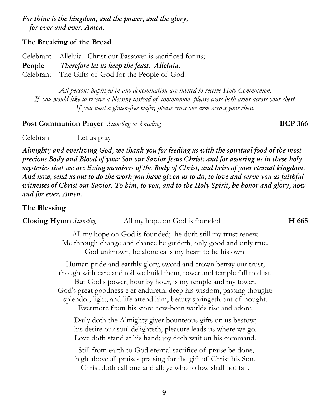For thine is the kingdom, and the power, and the glory, for ever and ever. Amen.

## **The Breaking of the Bread**

Celebrant Alleluia. Christ our Passover is sacrificed for us; **People** Therefore let us keep the feast. Alleluia. Celebrant The Gifts of God for the People of God.

*All persons baptized in any denomination are invited to receive Holy Communion. If you would like to receive a blessing instead of communion, please cross both arms across your chest. If you need a gluten-free wafer, please cross one arm across your chest.* 

**Post Communion Prayer** *Standing or kneeling* **by BCP 366** 

Celebrant Let us pray

Almighty and everliving God, we thank you for feeding us with the spiritual food of the most precious Body and Blood of your Son our Savior Jesus Christ; and for assuring us in these holy mysteries that we are living members of the Body of Christ, and heirs of your eternal kingdom. And now, send us out to do the work you have given us to do, to love and serve you as faithful witnesses of Christ our Savior. To him, to you, and to the Holy Spirit, be honor and glory, now and for ever. Amen.

## **The Blessing**

| <b>Closing Hymn</b> Standing | All my hope on God is founded                                                                                                  | H 665 |
|------------------------------|--------------------------------------------------------------------------------------------------------------------------------|-------|
|                              | All my hope on God is founded; he doth still my trust renew.<br>Mo through ghange and ghange he quidath only good and only two |       |

Me through change and chance he guideth, only good and only true. God unknown, he alone calls my heart to be his own.

Human pride and earthly glory, sword and crown betray our trust; though with care and toil we build them, tower and temple fall to dust. But God's power, hour by hour, is my temple and my tower. God's great goodness e'er endureth, deep his wisdom, passing thought: splendor, light, and life attend him, beauty springeth out of nought. Evermore from his store new-born worlds rise and adore.

Daily doth the Almighty giver bounteous gifts on us bestow; his desire our soul delighteth, pleasure leads us where we go. Love doth stand at his hand; joy doth wait on his command.

Still from earth to God eternal sacrifice of praise be done, high above all praises praising for the gift of Christ his Son. Christ doth call one and all: ye who follow shall not fall.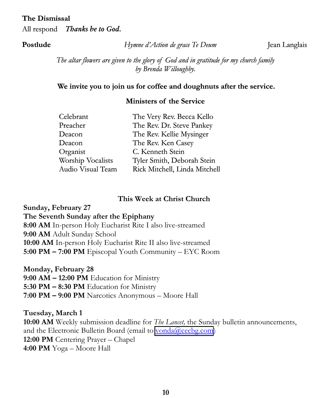### **The Dismissal**

All respond Thanks be to God.

## **Postlude** *Hymne d'Action de grace Te Deum* Jean Langlais

*The altar flowers are given to the glory of God and in gratitude for my church family by Brenda Willoughby.*

#### **We invite you to join us for coffee and doughnuts after the service.**

## **Ministers of the Service**

| Celebrant                | The Very Rev. Becca Kello     |
|--------------------------|-------------------------------|
| Preacher                 | The Rev. Dr. Steve Pankey     |
| Deacon                   | The Rev. Kellie Mysinger      |
| Deacon                   | The Rev. Ken Casey            |
| Organist                 | C. Kenneth Stein              |
| <b>Worship Vocalists</b> | Tyler Smith, Deborah Stein    |
| Audio Visual Team        | Rick Mitchell, Linda Mitchell |

#### **This Week at Christ Church**

**Sunday, February 27 The Seventh Sunday after the Epiphany 8:00 AM** In-person Holy Eucharist Rite I also live-streamed **9:00 AM** Adult Sunday School **10:00 AM** In-person Holy Eucharist Rite II also live-streamed **5:00 PM – 7:00 PM** Episcopal Youth Community – EYC Room

**Monday, February 28** 

**9:00 AM – 12:00 PM** Education for Ministry

**5:30 PM – 8:30 PM** Education for Ministry

**7:00 PM – 9:00 PM** Narcotics Anonymous – Moore Hall

**Tuesday, March 1 10:00 AM** Weekly submission deadline for *The Lancet,* the Sunday bulletin announcements, and the Electronic Bulletin Board (email to [vonda@cecbg.com](mailto:vonda@cecbg.com)) **12:00 PM** Centering Prayer – Chapel **4:00 PM** Yoga – Moore Hall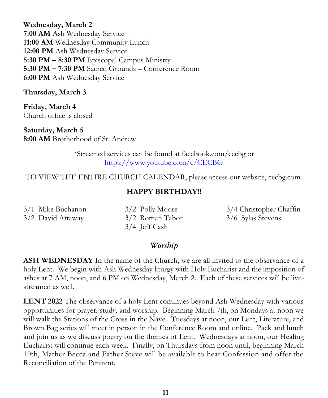**Wednesday, March 2 7:00 AM** Ash Wednesday Service **11:00 AM** Wednesday Community Lunch **12:00 PM** Ash Wednesday Service **5:30 PM – 8:30 PM** Episcopal Campus Ministry **5:30 PM – 7:30 PM** Sacred Grounds – Conference Room **6:00 PM** Ash Wednesday Service

**Thursday, March 3** 

**Friday, March 4**  Church office is closed

**Saturday, March 5 8:00 AM** Brotherhood of St. Andrew

> \*Streamed services can be found at facebook.com/cecbg or https://www.youtube.com/c/CECBG

TO VIEW THE ENTIRE CHURCH CALENDAR, please access our website, cecbg.com.

## **HAPPY BIRTHDAY!!**

| 3/1 Mike Buchanon |
|-------------------|
| 3/2 David Attaway |

3/2 Polly Moore 3/2 Roman Tabor 3/4 Jeff Cash

3/4 Christopher Chaffin 3/6 Sylas Stevens

# Worship

**ASH WEDNESDAY** In the name of the Church, we are all invited to the observance of a holy Lent. We begin with Ash Wednesday liturgy with Holy Eucharist and the imposition of ashes at 7 AM, noon, and 6 PM on Wednesday, March 2. Each of these services will be livestreamed as well.

**LENT 2022** The observance of a holy Lent continues beyond Ash Wednesday with various opportunities for prayer, study, and worship. Beginning March 7th, on Mondays at noon we will walk the Stations of the Cross in the Nave. Tuesdays at noon, our Lent, Literature, and Brown Bag series will meet in person in the Conference Room and online. Pack and lunch and join us as we discuss poetry on the themes of Lent. Wednesdays at noon, our Healing Eucharist will continue each week. Finally, on Thursdays from noon until, beginning March 10th, Mather Becca and Father Steve will be available to hear Confession and offer the Reconciliation of the Penitent.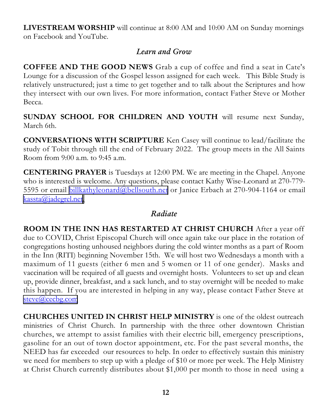**LIVESTREAM WORSHIP** will continue at 8:00 AM and 10:00 AM on Sunday mornings on Facebook and YouTube.

# Learn and Grow

**COFFEE AND THE GOOD NEWS** Grab a cup of coffee and find a seat in Cate's Lounge for a discussion of the Gospel lesson assigned for each week. This Bible Study is relatively unstructured; just a time to get together and to talk about the Scriptures and how they intersect with our own lives. For more information, contact Father Steve or Mother Becca.

**SUNDAY SCHOOL FOR CHILDREN AND YOUTH** will resume next Sunday, March 6th.

**CONVERSATIONS WITH SCRIPTURE** Ken Casey will continue to lead/facilitate the study of Tobit through till the end of February 2022. The group meets in the All Saints Room from  $9.00$  a.m. to  $9.45$  a.m.

**CENTERING PRAYER** is Tuesdays at 12:00 PM. We are meeting in the Chapel. Anyone who is interested is welcome. Any questions, please contact Kathy Wise-Leonard at 270-779 5595 or email [billkathyleonard@bellsouth.net](mailto:billkathyleonard@bellsouth.net) or Janice Erbach at 270-904-1164 or email [kassta@jadegrel.net.](mailto:kassta@jadegrel.net)

# Radiate

**ROOM IN THE INN HAS RESTARTED AT CHRIST CHURCH** After a year off due to COVID, Christ Episcopal Church will once again take our place in the rotation of congregations hosting unhoused neighbors during the cold winter months as a part of Room in the Inn (RITI) beginning November 15th. We will host two Wednesdays a month with a maximum of 11 guests (either 6 men and 5 women or 11 of one gender). Masks and vaccination will be required of all guests and overnight hosts. Volunteers to set up and clean up, provide dinner, breakfast, and a sack lunch, and to stay overnight will be needed to make this happen. If you are interested in helping in any way, please contact Father Steve at [steve@cecbg.com](mailto:steve@cecbg.com)

**CHURCHES UNITED IN CHRIST HELP MINISTRY** is one of the oldest outreach ministries of Christ Church. In partnership with the three other downtown Christian churches, we attempt to assist families with their electric bill, emergency prescriptions, gasoline for an out of town doctor appointment, etc. For the past several months, the NEED has far exceeded our resources to help. In order to effectively sustain this ministry we need for members to step up with a pledge of \$10 or more per week. The Help Ministry at Christ Church currently distributes about \$1,000 per month to those in need using a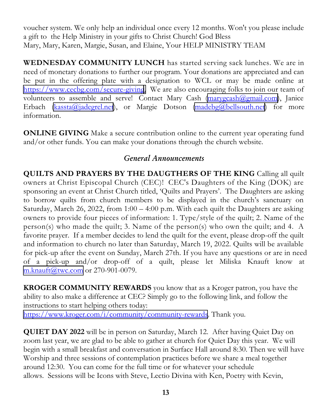voucher system. We only help an individual once every 12 months. Won't you please include a gift to the Help Ministry in your gifts to Christ Church! God Bless Mary, Mary, Karen, Margie, Susan, and Elaine, Your HELP MINISTRY TEAM

**WEDNESDAY COMMUNITY LUNCH** has started serving sack lunches. We are in need of monetary donations to further our program. Your donations are appreciated and can be put in the offering plate with a designation to WCL or may be made online at [https://www.cecbg.com/secure-giving.](https://www.cecbg.com/secure-giving) We are also encouraging folks to join our team of volunteers to assemble and serve! Contact Mary Cash [\(marygcash@gmail.com\)](mailto:marygcash@gmail.com), Janice Erbach [\(kassta@jadegrel.net](mailto:kassta@jadegrel.net)), or Margie Dotson [\(madebg@bellsouth.net](mailto:madebg@bellsouth.net)) for more information.

**ONLINE GIVING** Make a secure contribution online to the current year operating fund and/or other funds. You can make your donations through the church website.

## General Announcements

**QUILTS AND PRAYERS BY THE DAUGTHERS OF THE KING** Calling all quilt owners at Christ Episcopal Church (CEC)! CEC's Daughters of the King (DOK) are sponsoring an event at Christ Church titled, 'Quilts and Prayers'. The Daughters are asking to borrow quilts from church members to be displayed in the church's sanctuary on Saturday, March 26, 2022, from  $1:00 - 4:00$  p.m. With each quilt the Daughters are asking owners to provide four pieces of information: 1. Type/style of the quilt; 2. Name of the person(s) who made the quilt; 3. Name of the person(s) who own the quilt; and 4. A favorite prayer. If a member decides to lend the quilt for the event, please drop-off the quilt and information to church no later than Saturday, March 19, 2022. Quilts will be available for pick-up after the event on Sunday, March 27th. If you have any questions or are in need of a pick-up and/or drop-off of a quilt, please let Miliska Knauft know at [m.knauft@twc.com](mailto:m.knauft@twc.com) or 270-901-0079.

**KROGER COMMUNITY REWARDS** you know that as a Kroger patron, you have the ability to also make a difference at CEC? Simply go to the following link, and follow the instructions to start helping others today:

<https://www.kroger.com/i/community/community-rewards>. Thank you.

**QUIET DAY 2022** will be in person on Saturday, March 12. After having Quiet Day on zoom last year, we are glad to be able to gather at church for Quiet Day this year. We will begin with a small breakfast and conversation in Surface Hall around 8:30. Then we will have Worship and three sessions of contemplation practices before we share a meal together around 12:30. You can come for the full time or for whatever your schedule allows. Sessions will be Icons with Steve, Lectio Divina with Ken, Poetry with Kevin,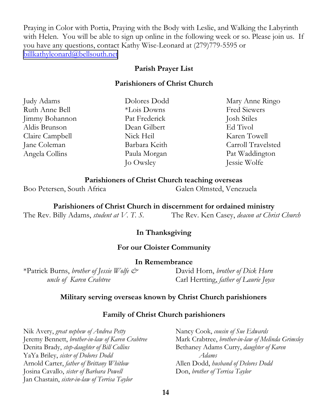Praying in Color with Portia, Praying with the Body with Leslie, and Walking the Labyrinth with Helen. You will be able to sign up online in the following week or so. Please join us. If you have any questions, contact Kathy Wise-Leonard at (279)779-5595 or [billkathyleonard@bellsouth.net](mailto:billkathyleonard@bellsouth.net)

### **Parish Prayer List**

### **Parishioners of Christ Church**

| Judy Adams      |
|-----------------|
| Ruth Anne Bell  |
| Jimmy Bohannon  |
| Aldis Brunson   |
| Claire Campbell |
| Jane Coleman    |
| Angela Collins  |

Dolores Dodd \*Lois Downs Pat Frederick Dean Gilbert Nick Heil Barbara Keith Paula Morgan Jo Owsley

Mary Anne Ringo Fred Siewers Josh Stiles Ed Tivol Karen Towell Carroll Travelsted Pat Waddington Jessie Wolfe

### **Parishioners of Christ Church teaching overseas**

Boo Petersen, South Africa Galen Olmsted, Venezuela

## **Parishioners of Christ Church in discernment for ordained ministry**

The Rev. Billy Adams, *student at V. T. S.* The Rev. Ken Casey, *deacon at Christ Church* 

### **In Thanksgiving**

#### **For our Cloister Community**

**In Remembrance** 

\*Patrick Burns, *brother of Jessie Wolfe & uncle of Karen Crabtree* 

David Horn, *brother of Dick Horn* Carl Hertting, *father of Laurie Joyce*

### **Military serving overseas known by Christ Church parishioners**

### **Family of Christ Church parishioners**

Nik Avery, *great nephew of Andrea Petty*  Jeremy Bennett, *brother-in-law of Karen Crabtree*  Denita Brady, *step-daughter of Bill Collins*  YaYa Briley, *sister of Dolores Dodd*  Arnold Carter, *father of Brittany Whitlow* Josina Cavallo, *sister of Barbara Powell*  Jan Chastain, *sister-in-law of Terrisa Taylor* 

Nancy Cook, *cousin of Sue Edwards*  Mark Crabtree, *brother-in-law of Melinda Grimsley*  Bethaney Adams Curry, *daughter of Karen Adams*  Allen Dodd, *husband of Delores Dodd*  Don, *brother of Terrisa Taylor*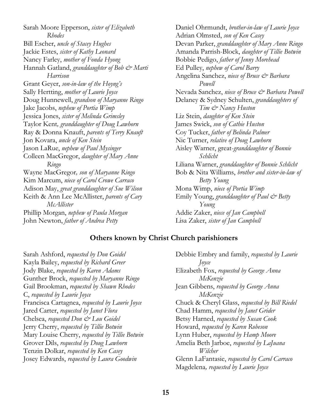Sarah Moore Epperson, *sister of Elizabeth Rhodes*  Bill Escher, *uncle of Stacey Hughes*  Jackie Estes, *sister of Kathy Leonard*  Nancy Farley, *mother of Fonda Hyong*  Hannah Gatland, *granddaughter of Bob & Marti Harrison*  Grant Geyer, *son-in-law of the Hoyng's*  Sally Hertting, *mother of Laurie Joyce*  Doug Hunnewell, *grandson of Maryanne Ringo*  Jake Jacobs, *nephew of Portia Wimp* Jessica Jones, *sister of Melinda Grimsley*  Taylor Kent*, granddaughter of Doug Lawhorn* Ray & Donna Knauft, *parents of Terry Knauft*  Jon Kovara, *uncle of Ken Stein*  Jason LaRue, *nephew of Paul Mysinger* Colleen MacGregor, *daughter of Mary Anne Ringo*  Wayne MacGregor*, son of Maryanne Ringo* Kim Marcum, *niece of Carol Crowe Carraco*  Adison May, *great granddaughter of Sue Wilson*  Keith & Ann Lee McAllister, *parents of Cary McAllister*  Phillip Morgan, *nephew of Paula Morgan*  John Newton, *father of Andrea Petty* 

Daniel Ohrmundt, *brother-in-law of Laurie Joyce*  Adrian Olmsted, *son of Ken Casey*  Devan Parker, *granddaughter of Mary Anne Ringo*  Amanda Parrish-Block, *daughter of Tillie Botwin*  Bobbie Pedigo, *father of Jenny Morehead*  Ed Pulley, *nephew of Carol Barry*  Angelina Sanchez, *niece of Bruce & Barbara Powell*  Nevada Sanchez, *niece of Bruce & Barbara Powell* Delaney & Sydney Schulten, *granddaughters of Tim & Nancy Huston*  Liz Stein, *daughter of Ken Stein*  James Swick, *son of Cathie Huston*  Coy Tucker, *father of Belinda Palmer*  Nic Turner, *relative of Doug Lawhorn* Aisley Warner, great-*granddaughter of Bonnie Schlicht* Liliana Warner, *granddaughter of Bonnie Schlicht*  Bob & Nita Williams, *brother and sister-in-law of Betty Young*  Mona Wimp, *niece of Portia Wimp*  Emily Young, *granddaughter of Paul & Betty Young* Addie Zaker, *niece of Jan Campbell*  Lisa Zaker, *sister of Jan Campbell*

### **Others known by Christ Church parishioners**

Sarah Ashford, *requested by Don Goidel*  Kayla Bailey, *requested by Richard Greer*  Jody Blake, *requested by Karen Adams* Gunther Brock, *requested by Maryanne Ringo*  Gail Brookman, *requested by Shawn Rhodes*  C, *requested by Laurie Joyce* Francisca Cartagnea, *requested by Laurie Joyce* Jared Carter, *requested by Janet Flora*  Chelsea, *requested Don & Lou Goidel* Jerry Cherry, *requested by Tillie Botwin* Mary Louise Cherry, *requested by Tillie Botwin* Grover Dils, *requested by Doug Lawhorn*  Tenzin Dolkar, *requested by Ken Casey*  Josey Edwards, *requested by Laura Goodwin* 

Debbie Embry and family, *requested by Laurie Joyce*  Elizabeth Fox, *requested by George Anna McKenzie*  Jean Gibbens, *requested by George Anna McKenzie*  Chuck & Cheryl Glass, *requested by Bill Riedel*  Chad Hamm, *requested by Janet Grider*  Betsy Harned, *requested by Susan Cook* Howard, *requested by Karen Robeson*  Lynn Huber, *requested by Hamp Moore*  Amelia Beth Jarboe, *requested by LaJuana Wilcher*  Glenn LaFantasie, *requested by Carol Carraco*  Magdelena*, requested by Laurie Joyce*